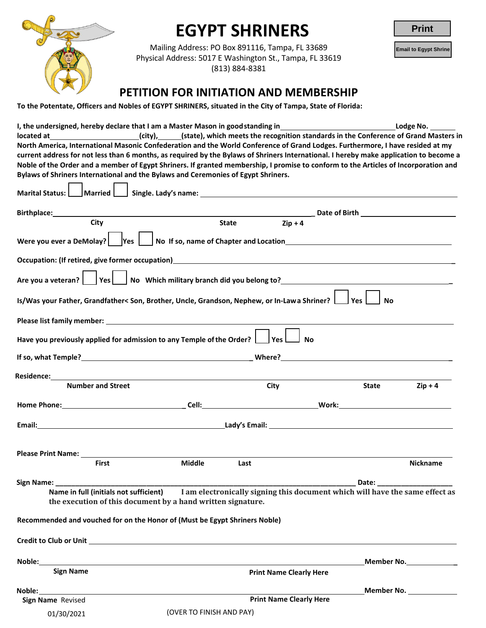

 $\Box$ 

 $\Box$ 

## **EGYPT SHRINERS**

Mailing Address: PO Box 891116, Tampa, FL 33689 Physical Address: 5017 E Washington St., Tampa, FL 33619 (813) 884-8381

## **Print**

**Email to Egypt Shrine**

## **PETITION FOR INITIATION AND MEMBERSHIP**

**To the Potentate, Officers and Nobles of EGYPT SHRINERS, situated in the City of Tampa, State of Florida:**

**I**, the undersigned, hereby declare that I am a Master Mason in good standing in **Luis 2008 Let up to a luminosity** Lodge No. **located at (city), (state), which meets the recognition standards in the Conference of Grand Masters in North America, International Masonic Confederation and the World Conference of Grand Lodges. Furthermore, I have resided at my current address for not less than 6 months, as required by the Bylaws of Shriners International. I hereby make application to become a Noble of the Order and a member of Egypt Shriners. If granted membership, I promise to conform to the Articles of Incorporation and Bylaws of Shriners International and the Bylaws and Ceremonies of Egypt Shriners.**

| Marital Status: $\Box$ Married $\Box$ Single. Lady's name: $\Box$ And the contract of the contract of the contract of the contract of the contract of the contract of the contract of the contract of the contract of the contract o |                          |                                |                    |                      |  |  |
|--------------------------------------------------------------------------------------------------------------------------------------------------------------------------------------------------------------------------------------|--------------------------|--------------------------------|--------------------|----------------------|--|--|
| Birthplace: 1988                                                                                                                                                                                                                     |                          |                                |                    |                      |  |  |
| City                                                                                                                                                                                                                                 |                          | State<br>$Zip + 4$             |                    |                      |  |  |
|                                                                                                                                                                                                                                      |                          |                                |                    |                      |  |  |
| Occupation: (If retired, give former occupation)<br>and the manufacture and the manufacture and the manufacture and the manufacture and the manufacture and the m                                                                    |                          |                                |                    |                      |  |  |
|                                                                                                                                                                                                                                      |                          |                                |                    |                      |  |  |
| Is/Was your Father, Grandfather< Son, Brother, Uncle, Grandson, Nephew, or In-Lawa Shriner?   Stes                                                                                                                                   |                          |                                | l No               |                      |  |  |
|                                                                                                                                                                                                                                      |                          |                                |                    |                      |  |  |
| Have you previously applied for admission to any Temple of the Order? $\Box$ Yes $\Box$ No                                                                                                                                           |                          |                                |                    |                      |  |  |
|                                                                                                                                                                                                                                      |                          |                                |                    |                      |  |  |
|                                                                                                                                                                                                                                      |                          |                                |                    |                      |  |  |
| <b>Number and Street</b>                                                                                                                                                                                                             |                          | City                           |                    | State $\qquad 2ip+4$ |  |  |
| Home Phone: Cell: Cell: Work:                                                                                                                                                                                                        |                          |                                |                    |                      |  |  |
|                                                                                                                                                                                                                                      |                          |                                |                    |                      |  |  |
| Please Print Name: Name: Name and Name and Name and Name and Name and Name and Name and Name and Name and Name and Name and Name and Name and Name and Name and Name and Name and Name and Name and Name and Name and Name and       |                          |                                |                    |                      |  |  |
| <b>First</b>                                                                                                                                                                                                                         | <b>Middle</b>            | Last                           |                    | <b>Nickname</b>      |  |  |
| Sign Name: The Sign Name:                                                                                                                                                                                                            |                          |                                | Date: ____________ |                      |  |  |
| the execution of this document by a hand written signature.                                                                                                                                                                          |                          |                                |                    |                      |  |  |
| Recommended and vouched for on the Honor of (Must be Egypt Shriners Noble)                                                                                                                                                           |                          |                                |                    |                      |  |  |
|                                                                                                                                                                                                                                      |                          |                                |                    |                      |  |  |
| Noble:                                                                                                                                                                                                                               |                          |                                |                    | Member No.           |  |  |
| <b>Sign Name</b>                                                                                                                                                                                                                     |                          | <b>Print Name Clearly Here</b> |                    |                      |  |  |
| Noble: a controller and controller and controller and controller and controller and controller and controller and controller and controller and controller and controller and controller and controller and controller and con       |                          |                                |                    | Member No.           |  |  |
| Sign Name Revised                                                                                                                                                                                                                    |                          | <b>Print Name Clearly Here</b> |                    |                      |  |  |
| 01/30/2021                                                                                                                                                                                                                           | (OVER TO FINISH AND PAY) |                                |                    |                      |  |  |